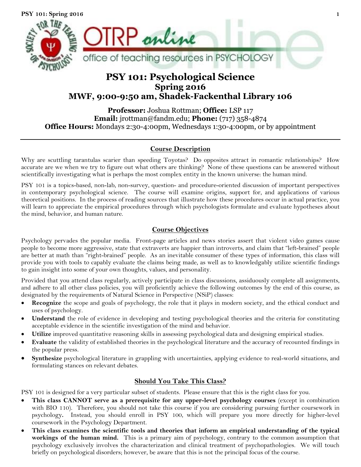

# **PSY 101: Psychological Science Spring 2016 MWF, 9:00-9:50 am, Shadek-Fackenthal Library 106**

**Professor:** Joshua Rottman; **Office:** LSP 117 **Email:** jrottman@fandm.edu; **Phone:** (717) 358-4874 **Office Hours:** Mondays 2:30-4:00pm, Wednesdays 1:30-4:00pm, or by appointment

# **Course Description**

Why are scuttling tarantulas scarier than speeding Toyotas? Do opposites attract in romantic relationships? How accurate are we when we try to figure out what others are thinking? None of these questions can be answered without scientifically investigating what is perhaps the most complex entity in the known universe: the human mind.

PSY 101 is a topics-based, non-lab, non-survey, question- and procedure-oriented discussion of important perspectives in contemporary psychological science. The course will examine origins, support for, and applications of various theoretical positions. In the process of reading sources that illustrate how these procedures occur in actual practice, you will learn to appreciate the empirical procedures through which psychologists formulate and evaluate hypotheses about the mind, behavior, and human nature.

# **Course Objectives**

Psychology pervades the popular media. Front-page articles and news stories assert that violent video games cause people to become more aggressive, state that extraverts are happier than introverts, and claim that "left-brained" people are better at math than "right-brained" people. As an inevitable consumer of these types of information, this class will provide you with tools to capably evaluate the claims being made, as well as to knowledgably utilize scientific findings to gain insight into some of your own thoughts, values, and personality.

Provided that you attend class regularly, actively participate in class discussions, assiduously complete all assignments, and adhere to all other class policies, you will proficiently achieve the following outcomes by the end of this course, as designated by the requirements of Natural Science in Perspective (NSiP) classes:

- **Recognize** the scope and goals of psychology, the role that it plays in modern society, and the ethical conduct and uses of psychology.
- **Understand** the role of evidence in developing and testing psychological theories and the criteria for constituting acceptable evidence in the scientific investigation of the mind and behavior.
- **Utilize** improved quantitative reasoning skills in assessing psychological data and designing empirical studies.
- **Evaluate** the validity of established theories in the psychological literature and the accuracy of recounted findings in the popular press.
- **Synthesize** psychological literature in grappling with uncertainties, applying evidence to real-world situations, and formulating stances on relevant debates.

# **Should You Take This Class?**

PSY 101 is designed for a very particular subset of students. Please ensure that this is the right class for you.

- **This class CANNOT serve as a prerequisite for any upper-level psychology courses** (except in combination with BIO 110). Therefore, you should not take this course if you are considering pursuing further coursework in psychology**.** Instead, you should enroll in PSY 100, which will prepare you more directly for higher-level coursework in the Psychology Department.
- **This class examines the scientific tools and theories that inform an empirical understanding of the typical workings of the human mind.** This is a primary aim of psychology, contrary to the common assumption that psychology exclusively involves the characterization and clinical treatment of psychopathologies. We will touch briefly on psychological disorders; however, be aware that this is not the principal focus of the course.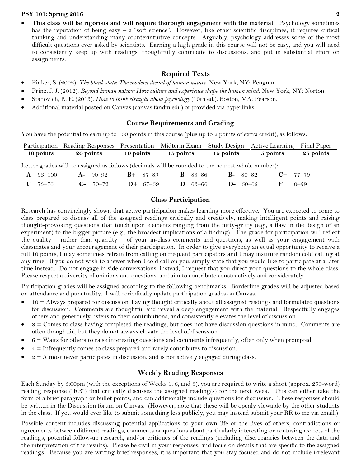**This class will be rigorous and will require thorough engagement with the material.** Psychology sometimes has the reputation of being easy  $-$  a "soft science". However, like other scientific disciplines, it requires critical thinking and understanding many counterintuitive concepts. Arguably, psychology addresses some of the most difficult questions ever asked by scientists. Earning a high grade in this course will not be easy, and you will need to consistently keep up with readings, thoughtfully contribute to discussions, and put in substantial effort on assignments.

## **Required Texts**

- Pinker, S. (2002). *The blank slate: The modern denial of human nature*. New York, NY: Penguin.
- Prinz, J. J. (2012). *Beyond human nature: How culture and experience shape the human mind*. New York, NY: Norton.
- Stanovich, K. E. (2013). *How to think straight about psychology* (10th ed.). Boston, MA: Pearson.
- Additional material posted on Canvas (canvas.fandm.edu) or provided via hyperlinks.

## **Course Requirements and Grading**

You have the potential to earn up to 100 points in this course (plus up to 2 points of extra credit), as follows:

|           | Participation Reading Responses Presentation Midterm Exam Study Design Active Learning Final Paper |           |           |           |          |           |
|-----------|----------------------------------------------------------------------------------------------------|-----------|-----------|-----------|----------|-----------|
| 10 points | <b>20 points</b>                                                                                   | 10 points | 15 points | 15 points | 5 points | 25 points |

Letter grades will be assigned as follows (decimals will be rounded to the nearest whole number):

| $\mathbf{A} \quad 93-100$ | $A - 90 - 92$ $B + 87 - 89$ |  | <b>B</b> $83-86$  | $B-80-82$ |  | $C+ 77-79$   |
|---------------------------|-----------------------------|--|-------------------|-----------|--|--------------|
| $C$ 73–76                 | $C-70-72$ D+ 67-69          |  | $D \quad 63 - 66$ | $D-60-62$ |  | $F = 0 - 59$ |

# **Class Participation**

Research has convincingly shown that active participation makes learning more effective. You are expected to come to class prepared to discuss all of the assigned readings critically and creatively, making intelligent points and raising thought-provoking questions that touch upon elements ranging from the nitty-gritty (e.g., a flaw in the design of an experiment) to the bigger picture (e.g., the broadest implications of a finding). The grade for participation will reflect the quality – rather than quantity – of your in-class comments and questions, as well as your engagement with classmates and your encouragement of their participation. In order to give everybody an equal opportunity to receive a full 10 points, I may sometimes refrain from calling on frequent participators and I may institute random cold calling at any time. If you do not wish to answer when I cold call on you, simply state that you would like to participate at a later time instead. Do not engage in side conversations; instead, I request that you direct your questions to the whole class. Please respect a diversity of opinions and questions, and aim to contribute constructively and considerately.

Participation grades will be assigned according to the following benchmarks. Borderline grades will be adjusted based on attendance and punctuality. I will periodically update participation grades on Canvas.

- 10 = Always prepared for discussion, having thought critically about all assigned readings and formulated questions for discussion. Comments are thoughtful and reveal a deep engagement with the material. Respectfully engages others and generously listens to their contributions, and consistently elevates the level of discussion.
- 8 = Comes to class having completed the readings, but does not have discussion questions in mind. Comments are often thoughtful, but they do not always elevate the level of discussion.
- $6 =$  Waits for others to raise interesting questions and comments infrequently, often only when prompted.
- 4 = Infrequently comes to class prepared and rarely contributes to discussion.
- $2 =$  Almost never participates in discussion, and is not actively engaged during class.

# **Weekly Reading Responses**

Each Sunday by 5:00pm (with the exceptions of Weeks 1, 6, and 8), you are required to write a short (approx. 250-word) reading response ("RR") that critically discusses the assigned reading(s) for the next week. This can either take the form of a brief paragraph or bullet points, and can additionally include questions for discussion. These responses should be written in the Discussion forum on Canvas. (However, note that these will be openly viewable by the other students in the class. If you would ever like to submit something less publicly, you may instead submit your RR to me via email.)

Possible content includes discussing potential applications to your own life or the lives of others, contradictions or agreements between different readings, comments or questions about particularly interesting or confusing aspects of the readings, potential follow-up research, and/or critiques of the readings (including discrepancies between the data and the interpretation of the results). Please be civil in your responses, and focus on details that are specific to the assigned readings. Because you are writing brief responses, it is important that you stay focused and do not include irrelevant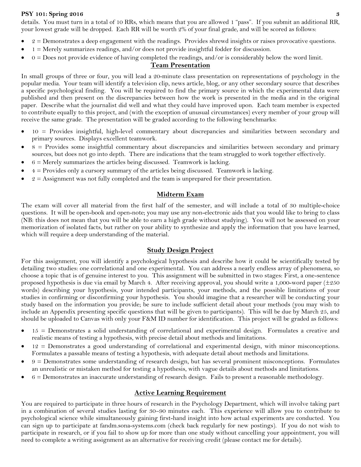details. You must turn in a total of 10 RRs, which means that you are allowed 1 "pass". If you submit an additional RR, your lowest grade will be dropped. Each RR will be worth 2% of your final grade, and will be scored as follows:

- 2 = Demonstrates a deep engagement with the readings. Provides shrewd insights or raises provocative questions.
- 1 = Merely summarizes readings, and/or does not provide insightful fodder for discussion.
- $0 =$  Does not provide evidence of having completed the readings, and/or is considerably below the word limit.

# **Team Presentation**

In small groups of three or four, you will lead a 20-minute class presentation on representations of psychology in the popular media. Your team will identify a television clip, news article, blog, or any other secondary source that describes a specific psychological finding. You will be required to find the primary source in which the experimental data were published and then present on the discrepancies between how the work is presented in the media and in the original paper. Describe what the journalist did well and what they could have improved upon. Each team member is expected to contribute equally to this project, and (with the exception of unusual circumstances) every member of your group will receive the same grade. The presentation will be graded according to the following benchmarks:

- 10 = Provides insightful, high-level commentary about discrepancies and similarities between secondary and primary sources. Displays excellent teamwork.
- 8 = Provides some insightful commentary about discrepancies and similarities between secondary and primary sources, but does not go into depth. There are indications that the team struggled to work together effectively.
- $6$  = Merely summarizes the articles being discussed. Teamwork is lacking.
- 4 = Provides only a cursory summary of the articles being discussed. Teamwork is lacking.
- $2 =$  Assignment was not fully completed and the team is unprepared for their presentation.

## **Midterm Exam**

The exam will cover all material from the first half of the semester, and will include a total of 30 multiple-choice questions. It will be open-book and open-note; you may use any non-electronic aids that you would like to bring to class (NB: this does not mean that you will be able to earn a high grade without studying). You will not be assessed on your memorization of isolated facts, but rather on your ability to synthesize and apply the information that you have learned, which will require a deep understanding of the material.

# **Study Design Project**

For this assignment, you will identify a psychological hypothesis and describe how it could be scientifically tested by detailing two studies: one correlational and one experimental. You can address a nearly endless array of phenomena, so choose a topic that is of genuine interest to you. This assignment will be submitted in two stages: First, a one-sentence proposed hypothesis is due via email by March 4. After receiving approval, you should write a 1,000-word paper  $(\pm 250$ words) describing your hypothesis, your intended participants, your methods, and the possible limitations of your studies in confirming or disconfirming your hypothesis. You should imagine that a researcher will be conducting your study based on the information you provide; be sure to include sufficient detail about your methods (you may wish to include an Appendix presenting specific questions that will be given to participants). This will be due by March 25, and should be uploaded to Canvas with only your F&M ID number for identification. This project will be graded as follows:

- 15 = Demonstrates a solid understanding of correlational and experimental design. Formulates a creative and realistic means of testing a hypothesis, with precise detail about methods and limitations.
- 12 = Demonstrates a good understanding of correlational and experimental design, with minor misconceptions. Formulates a passable means of testing a hypothesis, with adequate detail about methods and limitations.
- 9 = Demonstrates some understanding of research design, but has several prominent misconceptions. Formulates an unrealistic or mistaken method for testing a hypothesis, with vague details about methods and limitations.
- $6 =$  Demonstrates an inaccurate understanding of research design. Fails to present a reasonable methodology.

# **Active Learning Requirement**

You are required to participate in three hours of research in the Psychology Department, which will involve taking part in a combination of several studies lasting for 30–90 minutes each. This experience will allow you to contribute to psychological science while simultaneously gaining first-hand insight into how actual experiments are conducted. You can sign up to participate at [fandm.sona-systems.com](https://fandm.sona-systems.com/) (check back regularly for new postings). If you do not wish to participate in research, or if you fail to show up for more than one study without cancelling your appointment, you will need to complete a writing assignment as an alternative for receiving credit (please contact me for details).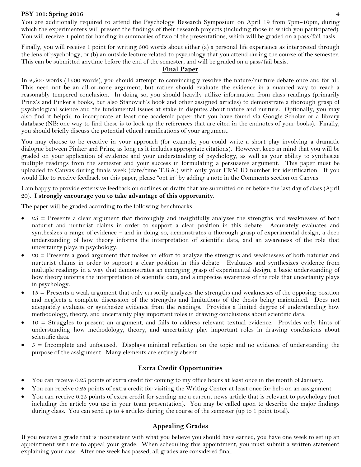You are additionally required to attend the Psychology Research Symposium on April 19 from 7pm–10pm, during which the experimenters will present the findings of their research projects (including those in which you participated). You will receive 1 point for handing in summaries of two of the presentations, which will be graded on a pass/fail basis.

Finally, you will receive 1 point for writing 500 words about either (a) a personal life experience as interpreted through the lens of psychology, or (b) an outside lecture related to psychology that you attend during the course of the semester. This can be submitted anytime before the end of the semester, and will be graded on a pass/fail basis.

### **Final Paper**

In 2,500 words (±500 words), you should attempt to convincingly resolve the nature/nurture debate once and for all. This need not be an all-or-none argument, but rather should evaluate the evidence in a nuanced way to reach a reasonably tempered conclusion. In doing so, you should heavily utilize information from class readings (primarily Prinz's and Pinker's books, but also Stanovich's book and other assigned articles) to demonstrate a thorough grasp of psychological science and the fundamental issues at stake in disputes about nature and nurture. Optionally, you may also find it helpful to incorporate at least one academic paper that you have found via Google Scholar or a library database (NB: one way to find these is to look up the references that are cited in the endnotes of your books). Finally, you should briefly discuss the potential ethical ramifications of your argument.

You may choose to be creative in your approach (for example, you could write a short play involving a dramatic dialogue between Pinker and Prinz, as long as it includes appropriate citations). However, keep in mind that you will be graded on your application of evidence and your understanding of psychology, as well as your ability to synthesize multiple readings from the semester and your success in formulating a persuasive argument. This paper must be uploaded to Canvas during finals week (date/time T.B.A.) with only your F&M ID number for identification. If you would like to receive feedback on this paper, please "opt in" by adding a note in the Comments section on Canvas.

I am happy to provide extensive feedback on outlines or drafts that are submitted on or before the last day of class (April 20). **I strongly encourage you to take advantage of this opportunity.**

The paper will be graded according to the following benchmarks:

- 25 = Presents a clear argument that thoroughly and insightfully analyzes the strengths and weaknesses of both naturist and nurturist claims in order to support a clear position in this debate. Accurately evaluates and synthesizes a range of evidence – and in doing so, demonstrates a thorough grasp of experimental design, a deep understanding of how theory informs the interpretation of scientific data, and an awareness of the role that uncertainty plays in psychology.
- 20 = Presents a good argument that makes an effort to analyze the strengths and weaknesses of both naturist and nurturist claims in order to support a clear position in this debate. Evaluates and synthesizes evidence from multiple readings in a way that demonstrates an emerging grasp of experimental design, a basic understanding of how theory informs the interpretation of scientific data, and a imprecise awareness of the role that uncertainty plays in psychology.
- 15 = Presents a weak argument that only cursorily analyzes the strengths and weaknesses of the opposing position and neglects a complete discussion of the strengths and limitations of the thesis being maintained. Does not adequately evaluate or synthesize evidence from the readings. Provides a limited degree of understanding how methodology, theory, and uncertainty play important roles in drawing conclusions about scientific data.
- 10 = Struggles to present an argument, and fails to address relevant textual evidence. Provides only hints of understanding how methodology, theory, and uncertainty play important roles in drawing conclusions about scientific data.
- 5 = Incomplete and unfocused. Displays minimal reflection on the topic and no evidence of understanding the purpose of the assignment. Many elements are entirely absent.

# **Extra Credit Opportunities**

- You can receive 0.25 points of extra credit for coming to my office hours at least once in the month of January.
- You can receive 0.25 points of extra credit for visiting the Writing Center at least once for help on an assignment.
- You can receive 0.25 points of extra credit for sending me a current news article that is relevant to psychology (not including the article you use in your team presentation). You may be called upon to describe the major findings during class. You can send up to 4 articles during the course of the semester (up to 1 point total).

# **Appealing Grades**

If you receive a grade that is inconsistent with what you believe you should have earned, you have one week to set up an appointment with me to appeal your grade. When scheduling this appointment, you must submit a written statement explaining your case. After one week has passed, all grades are considered final.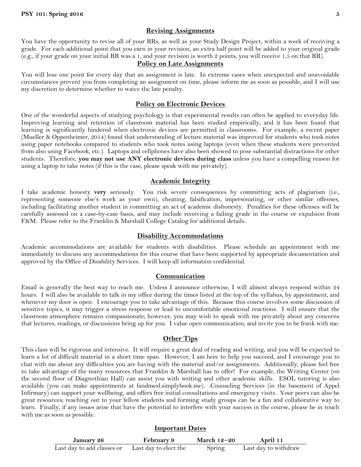# **Revising Assignments**

You have the opportunity to revise all of your RRs, as well as your Study Design Project, within a week of receiving a grade. For each additional point that you earn in your revision, an extra half point will be added to your original grade (e.g., if your grade on your initial RR was a 1, and your revision is worth 2 points, you will receive 1.5 on that RR).

#### **Policy on Late Assignments**

You will lose one point for every day that an assignment is late. In extreme cases when unexpected and unavoidable circumstances prevent you from completing an assignment on time, please inform me as soon as possible, and I will use my discretion to determine whether to waive the late penalty.

### **Policy on Electronic Devices**

One of the wonderful aspects of studying psychology is that experimental results can often be applied to everyday life. Improving learning and retention of classroom material has been studied empirically, and it has been found that learning is significantly hindered when electronic devices are permitted in classrooms. For example, a recent paper (Mueller & Oppenheimer, 2014) found that understanding of lecture material was improved for students who took notes using paper notebooks compared to students who took notes using laptops (even when these students were prevented from also using Facebook, etc.). Laptops and cellphones have also been showed to pose substantial distractions for other students. Therefore, **you may not use ANY electronic devices during class** unless you have a compelling reason for using a laptop to take notes (if this is the case, please speak with me privately).

#### **Academic Integrity**

I take academic honesty **very** seriously. You risk severe consequences by committing acts of plagiarism (i.e., representing someone else's work as your own), cheating, falsification, impersonating, or other similar offenses, including facilitating another student in committing an act of academic dishonesty. Penalties for these offenses will be carefully assessed on a case-by-case basis, and may include receiving a failing grade in the course or expulsion from F&M. Please refer to the Franklin & Marshall College Catalog for additional details.

#### **Disability Accommodations**

Academic accommodations are available for students with disabilities. Please schedule an appointment with me immediately to discuss any accommodations for this course that have been supported by appropriate documentation and approved by the Office of Disability Services. I will keep all information confidential.

#### **Communication**

Email is generally the best way to reach me. Unless I announce otherwise, I will almost always respond within 24 hours. I will also be available to talk in my office during the times listed at the top of the syllabus, by appointment, and whenever my door is open. I encourage you to take advantage of this. Because this course involves some discussion of sensitive topics, it may trigger a stress response or lead to uncomfortable emotional reactions. I will ensure that the classroom atmosphere remains compassionate; however, you may wish to speak with me privately about any concerns that lectures, readings, or discussions bring up for you. I value open communication, and invite you to be frank with me.

## **Other Tips**

This class will be rigorous and intensive. It will require a great deal of reading and writing, and you will be expected to learn a lot of difficult material in a short time span. However, I am here to help you succeed, and I encourage you to chat with me about any difficulties you are having with the material and/or assignments. Additionally, please feel free to take advantage of the many resources that Franklin & Marshall has to offer! For example, the Writing Center (on the second floor of Diagnothian Hall) can assist you with writing and other academic skills. ESOL tutoring is also available (you can make appointments at fandmesl.simplybook.me). Counseling Services (in the basement of Appel Infirmary) can support your wellbeing, and offers free initial consultations and emergency visits. Your peers can also be great resources; reaching out to your fellow students and forming study groups can be a fun and collaborative way to learn. Finally, if any issues arise that have the potential to interfere with your success in the course, please be in touch with me as soon as possible.

### **Important Dates**

| January 26                 | <b>February 9</b>     | March $12-20$ | April 11             |
|----------------------------|-----------------------|---------------|----------------------|
| Last day to add classes or | Last day to elect the | Spring        | Last day to withdraw |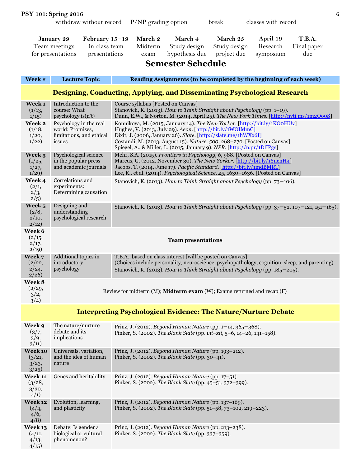| <b>PSY 101: Spring 2016</b> |  |  |
|-----------------------------|--|--|
|                             |  |  |

withdraw without record P/NP grading option break classes with record

| T.B.A.<br>March 2<br>March 4<br>March 25<br>April 19<br>January 29<br>February $15-19$ |                                                                                                                                                                           |                                                                                                                                                                                                                                                                                                                                                                 |  |  |  |  |
|----------------------------------------------------------------------------------------|---------------------------------------------------------------------------------------------------------------------------------------------------------------------------|-----------------------------------------------------------------------------------------------------------------------------------------------------------------------------------------------------------------------------------------------------------------------------------------------------------------------------------------------------------------|--|--|--|--|
|                                                                                        | In-class team<br>Team meetings<br>for presentations<br>presentations                                                                                                      | Midterm<br>Research<br>Final paper<br>Study design<br>Study design<br>hypothesis due<br>project due<br>symposium<br>due<br>exam                                                                                                                                                                                                                                 |  |  |  |  |
|                                                                                        |                                                                                                                                                                           | <b>Semester Schedule</b>                                                                                                                                                                                                                                                                                                                                        |  |  |  |  |
|                                                                                        |                                                                                                                                                                           |                                                                                                                                                                                                                                                                                                                                                                 |  |  |  |  |
| Week #                                                                                 | <b>Lecture Topic</b>                                                                                                                                                      | Reading Assignments (to be completed by the beginning of each week)                                                                                                                                                                                                                                                                                             |  |  |  |  |
|                                                                                        |                                                                                                                                                                           | Designing, Conducting, Applying, and Disseminating Psychological Research                                                                                                                                                                                                                                                                                       |  |  |  |  |
| Week 1<br>(1/13,<br>1/15                                                               | Introduction to the<br>course: What<br>$psychology$ is $(n't)$                                                                                                            | Course syllabus [Posted on Canvas]<br>Stanovich, K. (2013). How to Think Straight about Psychology (pp. 1-19).<br>Dunn, E.W., & Norton, M. (2014, April 25). The New York Times. [http://nyti.ms/1m2QooS]                                                                                                                                                       |  |  |  |  |
| Week 2<br>(1/18,<br>1/20,<br>1/22)                                                     | Psychology in the real<br>world: Promises,<br>limitations, and ethical<br>issues                                                                                          | Konnikova, M. (2015, January 14). The New Yorker. [http://bit.ly/1KOoHUv]<br>Hughes, V. (2013, July 29). Aeon. [http://bit.ly/1WOIMmC]<br>Dixit, J. (2006, January 26). Slate. [http://slate.me/1hWXx6I]<br>Costandi, M. (2013, August 15). Nature, 500, 268-270. [Posted on Canvas]<br>Spiegel, A., & Miller, L. (2015, January 9). NPR. [http://n.pr/1DlIPgs] |  |  |  |  |
| Week 3<br>(1/25,<br>1/27,<br>1/29                                                      | Psychological science<br>in the popular press<br>and academic journals                                                                                                    | Mehr, S.A. (2015). Frontiers in Psychology, 6, 988. [Posted on Canvas]<br>Marcus, G. (2012, November 30). The New Yorker. [http://bit.ly/1YncnH4]<br>Jacobs, T. (2014, June 17). Pacific Standard. [http://bit.ly/1mdBMRT]<br>Lee, K., et al. (2014). Psychological Science, 25, 1630-1636. [Posted on Canvas]                                                  |  |  |  |  |
| Week 4<br>(2/1,<br>2/3,<br>2/5                                                         | Correlations and<br>experiments:<br>Determining causation                                                                                                                 | Stanovich, K. (2013). How to Think Straight about Psychology (pp. 73-106).                                                                                                                                                                                                                                                                                      |  |  |  |  |
| Week 5<br>(2/8,<br>2/10,<br>2(12)                                                      | Designing and<br>understanding<br>psychological research                                                                                                                  | Stanovich, K. (2013). How to Think Straight about Psychology (pp. $37-52$ , $107-121$ , $151-165$ ).                                                                                                                                                                                                                                                            |  |  |  |  |
| Week 6<br>(2/15,<br>2/17,<br>2/19                                                      | <b>Team presentations</b>                                                                                                                                                 |                                                                                                                                                                                                                                                                                                                                                                 |  |  |  |  |
| Week 7<br>(2/22,<br>2/24,<br>2/26                                                      | Additional topics in<br>introductory<br>psychology                                                                                                                        | T.B.A., based on class interest [will be posted on Canvas]<br>(Choices include personality, neuroscience, psychopathology, cognition, sleep, and parenting)<br>Stanovich, K. (2013). How to Think Straight about Psychology (pp. 185–205).                                                                                                                      |  |  |  |  |
| Week 8<br>(2/29,<br>3/2,<br>3/4)                                                       | Review for midterm (M); Midterm exam (W); Exams returned and recap (F)                                                                                                    |                                                                                                                                                                                                                                                                                                                                                                 |  |  |  |  |
|                                                                                        |                                                                                                                                                                           | <b>Interpreting Psychological Evidence: The Nature/Nurture Debate</b>                                                                                                                                                                                                                                                                                           |  |  |  |  |
| Week 9<br>(3/7,<br>3/9,<br>3/11)                                                       | The nature/nurture<br>debate and its<br>implications                                                                                                                      | Prinz, J. (2012). Beyond Human Nature (pp. 1-14, 365-368).<br>Pinker, S. (2002). The Blank Slate (pp. vii-xii, 5-6, 14-26, 141-158).                                                                                                                                                                                                                            |  |  |  |  |
| Week 10<br>(3/21,<br>3/23,<br>3/25                                                     | Universals, variation,<br>and the idea of human<br>nature                                                                                                                 | Prinz, J. (2012). Beyond Human Nature (pp. 193-212).<br>Pinker, S. (2002). The Blank Slate (pp. 30-41).                                                                                                                                                                                                                                                         |  |  |  |  |
| Week 11<br>(3/28,<br>3/30,<br>4/1)                                                     | Genes and heritability                                                                                                                                                    | Prinz, J. (2012). Beyond Human Nature (pp. 17-51).<br>Pinker, S. (2002). The Blank Slate (pp. 45-51, 372-399).                                                                                                                                                                                                                                                  |  |  |  |  |
| Week 12<br>(4/4,<br>4/6,<br>4/8                                                        | Evolution, learning,<br>and plasticity                                                                                                                                    | Prinz, J. (2012). Beyond Human Nature (pp. 137-169).<br>Pinker, S. (2002). The Blank Slate (pp. 51-58, 73-102, 219-223).                                                                                                                                                                                                                                        |  |  |  |  |
| Week 13<br>(4/11,<br>4/13,<br>4/15                                                     | Prinz, J. (2012). Beyond Human Nature (pp. 213-238).<br>Debate: Is gender a<br>biological or cultural<br>Pinker, S. (2002). The Blank Slate (pp. 337-359).<br>phenomenon? |                                                                                                                                                                                                                                                                                                                                                                 |  |  |  |  |